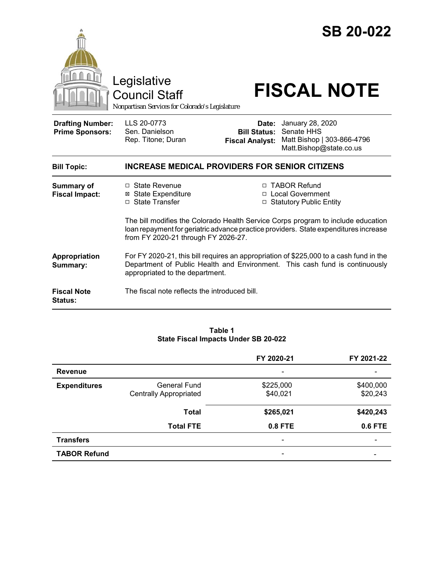|                                                   | Legislative<br><b>Council Staff</b><br>Nonpartisan Services for Colorado's Legislature                                                                                                                          |                                                        | <b>SB 20-022</b><br><b>FISCAL NOTE</b>                                                  |
|---------------------------------------------------|-----------------------------------------------------------------------------------------------------------------------------------------------------------------------------------------------------------------|--------------------------------------------------------|-----------------------------------------------------------------------------------------|
| <b>Drafting Number:</b><br><b>Prime Sponsors:</b> | LLS 20-0773<br>Sen. Danielson<br>Rep. Titone; Duran                                                                                                                                                             | Date:<br><b>Bill Status:</b><br><b>Fiscal Analyst:</b> | January 28, 2020<br>Senate HHS<br>Matt Bishop   303-866-4796<br>Matt.Bishop@state.co.us |
| <b>Bill Topic:</b>                                | <b>INCREASE MEDICAL PROVIDERS FOR SENIOR CITIZENS</b>                                                                                                                                                           |                                                        |                                                                                         |
| <b>Summary of</b><br><b>Fiscal Impact:</b>        | □ State Revenue<br><b>⊠</b> State Expenditure<br>□ State Transfer                                                                                                                                               |                                                        | □ TABOR Refund<br>□ Local Government<br>□ Statutory Public Entity                       |
|                                                   | The bill modifies the Colorado Health Service Corps program to include education<br>loan repayment for geriatric advance practice providers. State expenditures increase<br>from FY 2020-21 through FY 2026-27. |                                                        |                                                                                         |
| Appropriation<br>Summary:                         | For FY 2020-21, this bill requires an appropriation of \$225,000 to a cash fund in the<br>Department of Public Health and Environment. This cash fund is continuously<br>appropriated to the department.        |                                                        |                                                                                         |
| <b>Fiscal Note</b><br>Status:                     | The fiscal note reflects the introduced bill.                                                                                                                                                                   |                                                        |                                                                                         |

### **Table 1 State Fiscal Impacts Under SB 20-022**

|                     |                                               | FY 2020-21            | FY 2021-22            |
|---------------------|-----------------------------------------------|-----------------------|-----------------------|
| <b>Revenue</b>      |                                               |                       |                       |
| <b>Expenditures</b> | General Fund<br><b>Centrally Appropriated</b> | \$225,000<br>\$40,021 | \$400,000<br>\$20,243 |
|                     | <b>Total</b>                                  | \$265,021             | \$420,243             |
|                     | <b>Total FTE</b>                              | $0.8$ FTE             | 0.6 FTE               |
| <b>Transfers</b>    |                                               |                       |                       |
| <b>TABOR Refund</b> |                                               |                       |                       |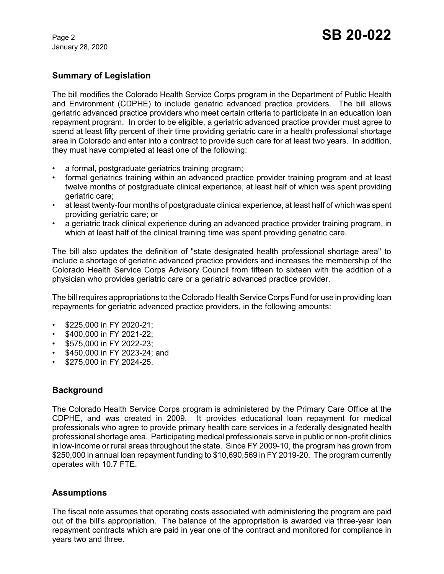January 28, 2020

# **Summary of Legislation**

The bill modifies the Colorado Health Service Corps program in the Department of Public Health and Environment (CDPHE) to include geriatric advanced practice providers. The bill allows geriatric advanced practice providers who meet certain criteria to participate in an education loan repayment program. In order to be eligible, a geriatric advanced practice provider must agree to spend at least fifty percent of their time providing geriatric care in a health professional shortage area in Colorado and enter into a contract to provide such care for at least two years. In addition, they must have completed at least one of the following:

- a formal, postgraduate geriatrics training program;
- formal geriatrics training within an advanced practice provider training program and at least twelve months of postgraduate clinical experience, at least half of which was spent providing geriatric care;
- at least twenty-four months of postgraduate clinical experience, at least half of which was spent providing geriatric care; or
- a geriatric track clinical experience during an advanced practice provider training program, in which at least half of the clinical training time was spent providing geriatric care.

The bill also updates the definition of "state designated health professional shortage area" to include a shortage of geriatric advanced practice providers and increases the membership of the Colorado Health Service Corps Advisory Council from fifteen to sixteen with the addition of a physician who provides geriatric care or a geriatric advanced practice provider.

The bill requires appropriations to the Colorado Health Service Corps Fund for use in providing loan repayments for geriatric advanced practice providers, in the following amounts:

- \$225,000 in FY 2020-21;
- \$400,000 in FY 2021-22;
- \$575,000 in FY 2022-23;
- \$450,000 in FY 2023-24; and
- \$275,000 in FY 2024-25.

## **Background**

The Colorado Health Service Corps program is administered by the Primary Care Office at the CDPHE, and was created in 2009. It provides educational loan repayment for medical professionals who agree to provide primary health care services in a federally designated health professional shortage area. Participating medical professionals serve in public or non-profit clinics in low-income or rural areas throughout the state. Since FY 2009-10, the program has grown from \$250,000 in annual loan repayment funding to \$10,690,569 in FY 2019-20. The program currently operates with 10.7 FTE.

## **Assumptions**

The fiscal note assumes that operating costs associated with administering the program are paid out of the bill's appropriation. The balance of the appropriation is awarded via three-year loan repayment contracts which are paid in year one of the contract and monitored for compliance in years two and three.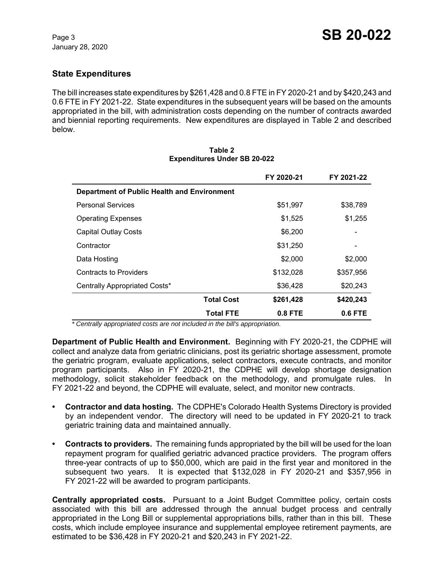# **State Expenditures**

The bill increases state expenditures by \$261,428 and 0.8 FTE in FY 2020-21 and by \$420,243 and 0.6 FTE in FY 2021-22. State expenditures in the subsequent years will be based on the amounts appropriated in the bill, with administration costs depending on the number of contracts awarded and biennial reporting requirements. New expenditures are displayed in Table 2 and described below.

|                                             | FY 2020-21 | FY 2021-22 |
|---------------------------------------------|------------|------------|
| Department of Public Health and Environment |            |            |
| <b>Personal Services</b>                    | \$51,997   | \$38,789   |
| <b>Operating Expenses</b>                   | \$1,525    | \$1,255    |
| <b>Capital Outlay Costs</b>                 | \$6,200    |            |
| Contractor                                  | \$31,250   | -          |
| Data Hosting                                | \$2,000    | \$2,000    |
| <b>Contracts to Providers</b>               | \$132,028  | \$357,956  |
| Centrally Appropriated Costs*               | \$36,428   | \$20,243   |
| <b>Total Cost</b>                           | \$261,428  | \$420,243  |
| <b>Total FTE</b>                            | 0.8 FTE    | 0.6 FTE    |

#### **Table 2 Expenditures Under SB 20-022**

 *\* Centrally appropriated costs are not included in the bill's appropriation.*

**Department of Public Health and Environment.** Beginning with FY 2020-21, the CDPHE will collect and analyze data from geriatric clinicians, post its geriatric shortage assessment, promote the geriatric program, evaluate applications, select contractors, execute contracts, and monitor program participants. Also in FY 2020-21, the CDPHE will develop shortage designation methodology, solicit stakeholder feedback on the methodology, and promulgate rules. In FY 2021-22 and beyond, the CDPHE will evaluate, select, and monitor new contracts.

- **Contractor and data hosting.** The CDPHE's Colorado Health Systems Directory is provided by an independent vendor. The directory will need to be updated in FY 2020-21 to track geriatric training data and maintained annually.
- **Contracts to providers.** The remaining funds appropriated by the bill will be used for the loan repayment program for qualified geriatric advanced practice providers. The program offers three-year contracts of up to \$50,000, which are paid in the first year and monitored in the subsequent two years. It is expected that \$132,028 in FY 2020-21 and \$357,956 in FY 2021-22 will be awarded to program participants.

**Centrally appropriated costs.** Pursuant to a Joint Budget Committee policy, certain costs associated with this bill are addressed through the annual budget process and centrally appropriated in the Long Bill or supplemental appropriations bills, rather than in this bill. These costs, which include employee insurance and supplemental employee retirement payments, are estimated to be \$36,428 in FY 2020-21 and \$20,243 in FY 2021-22.